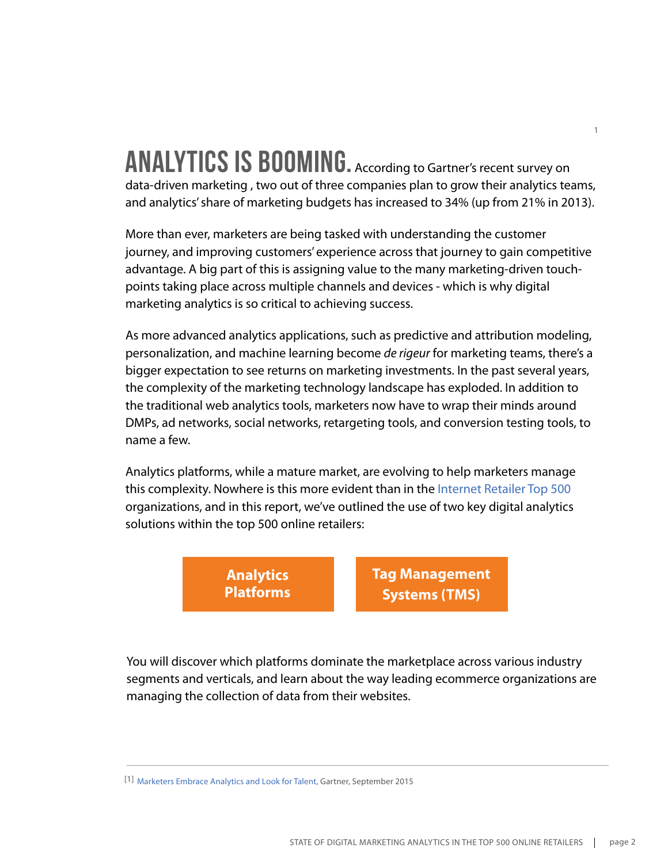#### **ANALYTICS IS BOOMING.** According to Gartner's recent survey on data-driven marketing , two out of three companies plan to grow their analytics teams, and analytics' share of marketing budgets has increased to 34% (up from 21% in 2013).

1

More than ever, marketers are being tasked with understanding the customer journey, and improving customers' experience across that journey to gain competitive advantage. A big part of this is assigning value to the many marketing-driven touchpoints taking place across multiple channels and devices - which is why digital marketing analytics is so critical to achieving success.

As more advanced analytics applications, such as predictive and attribution modeling, personalization, and machine learning become *de rigeur* for marketing teams, there's a bigger expectation to see returns on marketing investments. In the past several years, the complexity of the marketing technology landscape has exploded. In addition to the traditional web analytics tools, marketers now have to wrap their minds around DMPs, ad networks, social networks, retargeting tools, and conversion testing tools, to name a few.

Analytics platforms, while a mature market, are evolving to help marketers manage this complexity. Nowhere is this more evident than in the [Internet Retailer Top 500](https://www.internetretailer.com/top500/#!/) organizations, and in this report, we've outlined the use of two key digital analytics solutions within the top 500 online retailers:

> **Analytics Platforms**

**Tag Management Systems (TMS)**

You will discover which platforms dominate the marketplace across various industry segments and verticals, and learn about the way leading ecommerce organizations are managing the collection of data from their websites.

[1] [Marketers Embrace Analytics and Look for Talent,](http://www.gartner.com/smarterwithgartner/marketers-embrace-analytics-and-look-for-talent/) Gartner, September 2015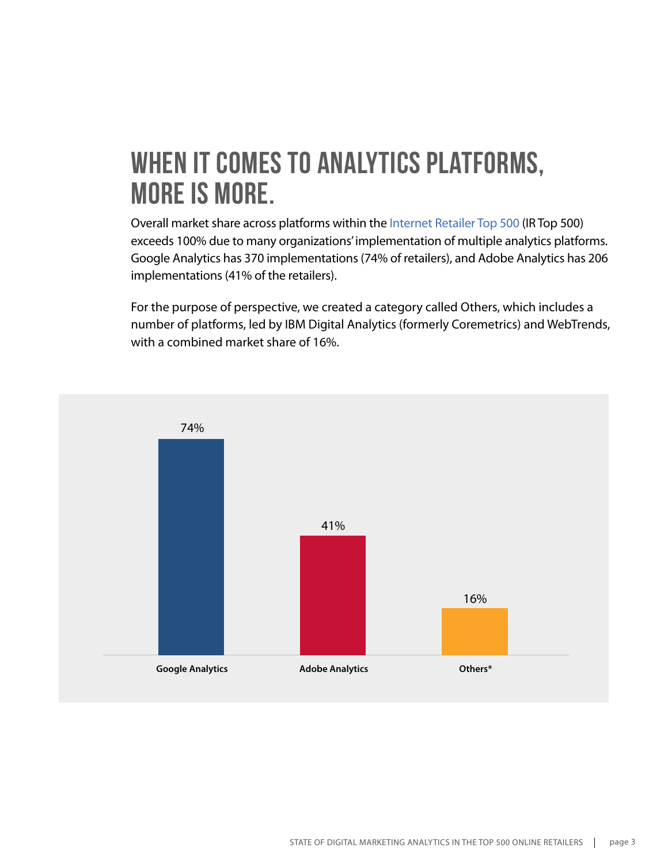## **When it comes to analytics platforms, more is more.**

Overall market share across platforms within the [Internet Retailer Top 500](https://www.internetretailer.com/top500/#!/) (IR Top 500) exceeds 100% due to many organizations' implementation of multiple analytics platforms. Google Analytics has 370 implementations (74% of retailers), and Adobe Analytics has 206 implementations (41% of the retailers).

For the purpose of perspective, we created a category called Others, which includes a number of platforms, led by IBM Digital Analytics (formerly Coremetrics) and WebTrends, with a combined market share of 16%.

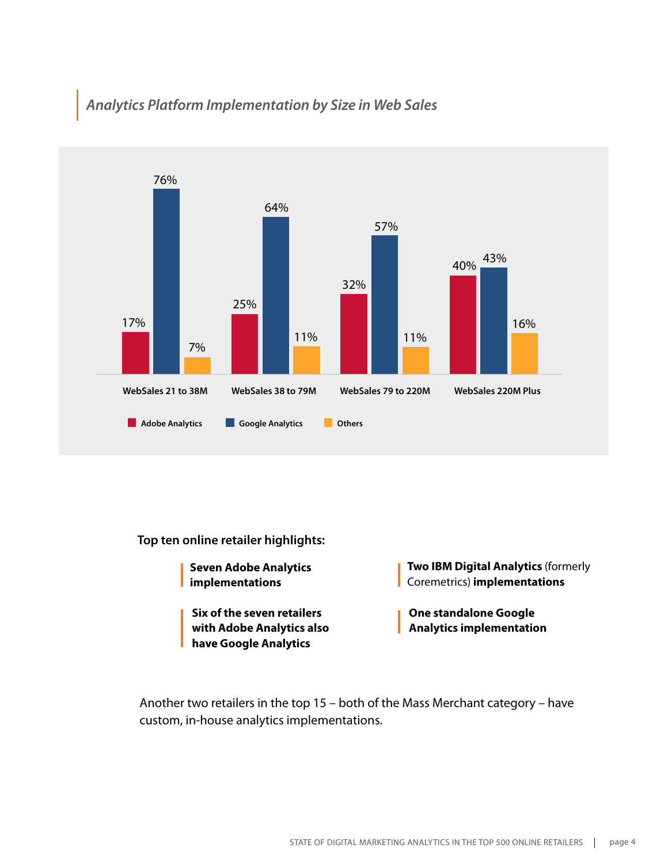#### *Analytics Platform Implementation by Size in Web Sales*



**Top ten online retailer highlights:** 

- **Seven Adobe Analytics implementations**
	- **Six of the seven retailers with Adobe Analytics also have Google Analytics**
- **Two IBM Digital Analytics** (formerly Coremetrics) **implementations**
- **One standalone Google Analytics implementation**

Another two retailers in the top 15 – both of the Mass Merchant category – have custom, in-house analytics implementations.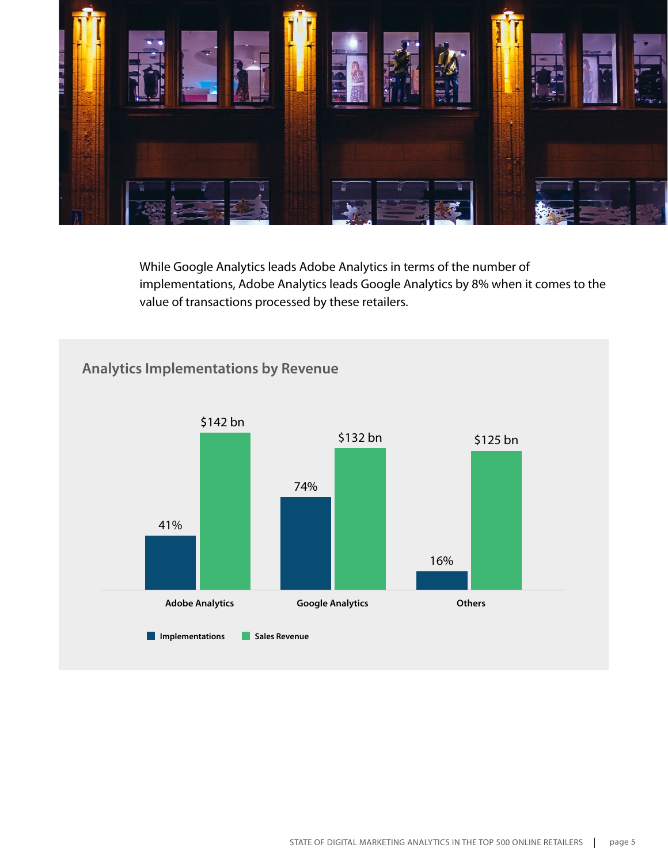

While Google Analytics leads Adobe Analytics in terms of the number of implementations, Adobe Analytics leads Google Analytics by 8% when it comes to the value of transactions processed by these retailers.

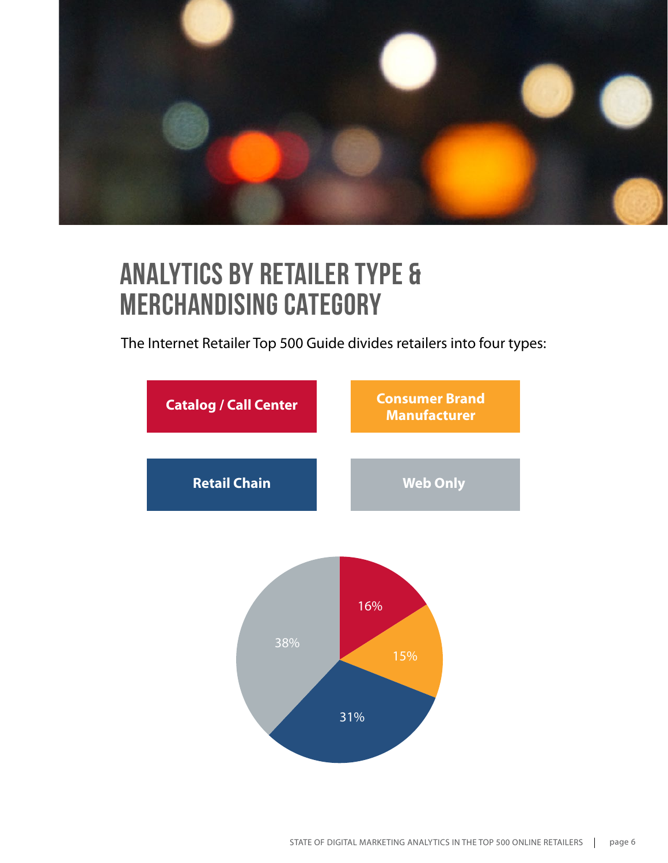

## **Analytics by Retailer Type & Merchandising Category**

The Internet Retailer Top 500 Guide divides retailers into four types:

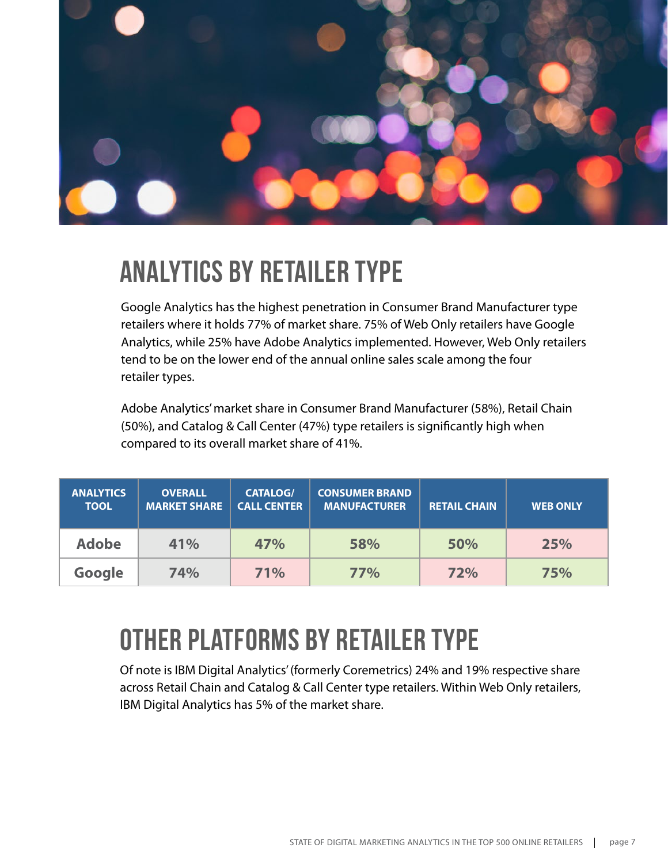

## **Analytics by Retailer Type**

Google Analytics has the highest penetration in Consumer Brand Manufacturer type retailers where it holds 77% of market share. 75% of Web Only retailers have Google Analytics, while 25% have Adobe Analytics implemented. However, Web Only retailers tend to be on the lower end of the annual online sales scale among the four retailer types.

Adobe Analytics' market share in Consumer Brand Manufacturer (58%), Retail Chain (50%), and Catalog & Call Center (47%) type retailers is significantly high when compared to its overall market share of 41%.

| <b>ANALYTICS</b><br><b>TOOL</b> | <b>OVERALL</b><br><b>MARKET SHARE</b> | <b>CATALOG/</b><br><b>CALL CENTER</b> | <b>CONSUMER BRAND</b><br><b>MANUFACTURER</b> | <b>RETAIL CHAIN</b> | <b>WEB ONLY</b> |
|---------------------------------|---------------------------------------|---------------------------------------|----------------------------------------------|---------------------|-----------------|
| <b>Adobe</b>                    | 41%                                   | 47%                                   | 58%                                          | 50%                 | 25%             |
| Google                          | 74%                                   | 71%                                   | <b>77%</b>                                   | 72%                 | 75%             |

## **Other platforms by retailer type**

Of note is IBM Digital Analytics' (formerly Coremetrics) 24% and 19% respective share across Retail Chain and Catalog & Call Center type retailers. Within Web Only retailers, IBM Digital Analytics has 5% of the market share.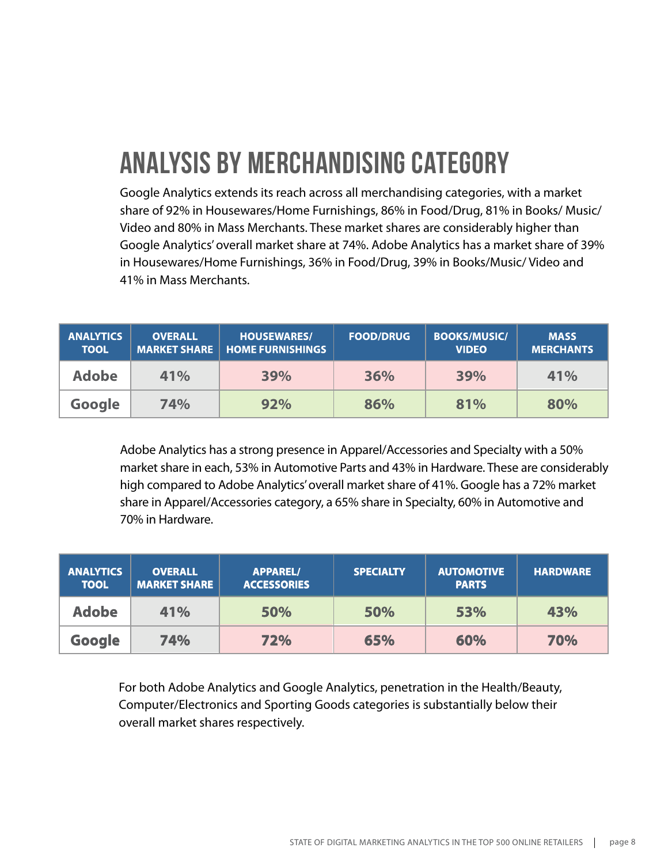# **Analysis by Merchandising Category**

Google Analytics extends its reach across all merchandising categories, with a market share of 92% in Housewares/Home Furnishings, 86% in Food/Drug, 81% in Books/ Music/ Video and 80% in Mass Merchants. These market shares are considerably higher than Google Analytics' overall market share at 74%. Adobe Analytics has a market share of 39% in Housewares/Home Furnishings, 36% in Food/Drug, 39% in Books/Music/ Video and 41% in Mass Merchants.

| <b>ANALYTICS</b><br><b>TOOL</b> | <b>OVERALL</b> | <b>HOUSEWARES/</b><br><b>MARKET SHARE   HOME FURNISHINGS</b> | <b>FOOD/DRUG</b> | <b>BOOKS/MUSIC/</b><br><b>VIDEO</b> | <b>MASS</b><br><b>MERCHANTS</b> |
|---------------------------------|----------------|--------------------------------------------------------------|------------------|-------------------------------------|---------------------------------|
| <b>Adobe</b>                    | 41%            | 39%                                                          | 36%              | 39%                                 | 41%                             |
| Google                          | 74%            | 92%                                                          | 86%              | 81%                                 | 80%                             |

Adobe Analytics has a strong presence in Apparel/Accessories and Specialty with a 50% market share in each, 53% in Automotive Parts and 43% in Hardware. These are considerably high compared to Adobe Analytics' overall market share of 41%. Google has a 72% market share in Apparel/Accessories category, a 65% share in Specialty, 60% in Automotive and 70% in Hardware.

| <b>ANALYTICS</b><br><b>TOOL</b> | <b>OVERALL</b><br><b>MARKET SHARE</b> | <b>APPAREL/</b><br><b>ACCESSORIES</b> | <b>SPECIALTY</b> | <b>AUTOMOTIVE</b><br><b>PARTS</b> | <b>HARDWARE</b> |
|---------------------------------|---------------------------------------|---------------------------------------|------------------|-----------------------------------|-----------------|
| <b>Adobe</b>                    | 41%                                   | 50%                                   | 50%              | 53%                               | 43%             |
| Google                          | 74%                                   | 72%                                   | 65%              | 60%                               | 70%             |

For both Adobe Analytics and Google Analytics, penetration in the Health/Beauty, Computer/Electronics and Sporting Goods categories is substantially below their overall market shares respectively.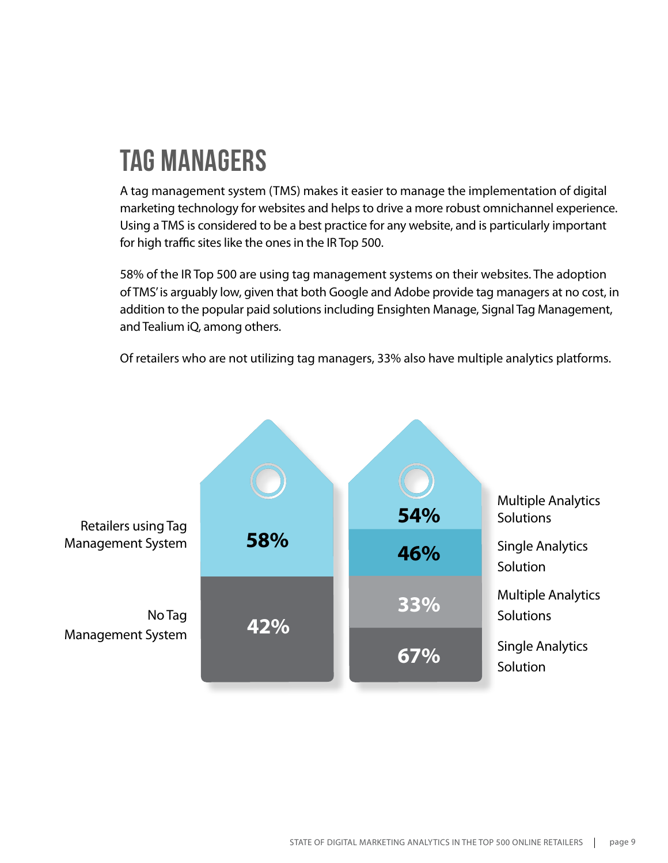# **Tag Managers**

A tag management system (TMS) makes it easier to manage the implementation of digital marketing technology for websites and helps to drive a more robust omnichannel experience. Using a TMS is considered to be a best practice for any website, and is particularly important for high traffic sites like the ones in the IR Top 500.

58% of the IR Top 500 are using tag management systems on their websites. The adoption of TMS' is arguably low, given that both Google and Adobe provide tag managers at no cost, in addition to the popular paid solutions including Ensighten Manage, Signal Tag Management, and Tealium iQ, among others.

Of retailers who are not utilizing tag managers, 33% also have multiple analytics platforms.

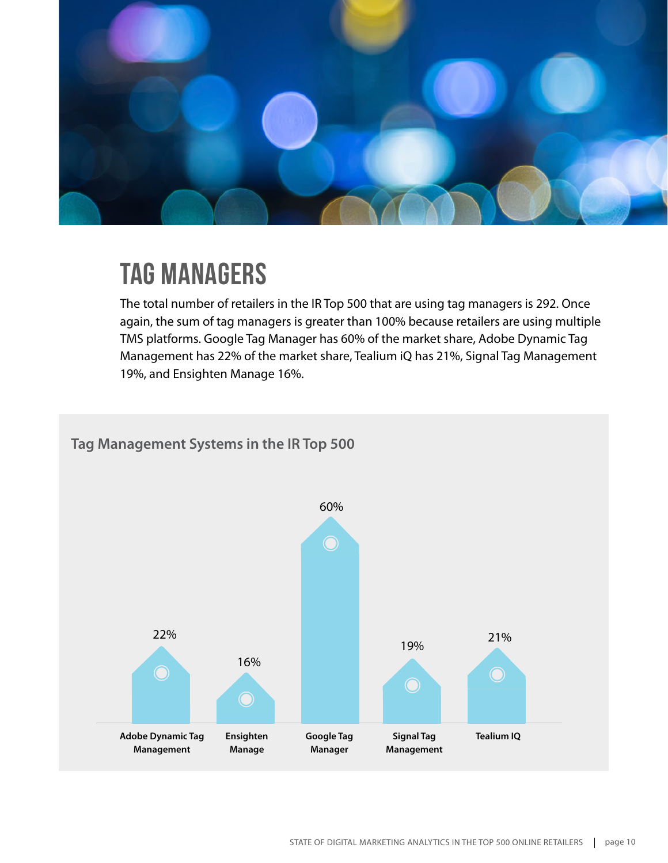

### **Tag Managers**

The total number of retailers in the IR Top 500 that are using tag managers is 292. Once again, the sum of tag managers is greater than 100% because retailers are using multiple TMS platforms. Google Tag Manager has 60% of the market share, Adobe Dynamic Tag Management has 22% of the market share, Tealium iQ has 21%, Signal Tag Management 19%, and Ensighten Manage 16%.

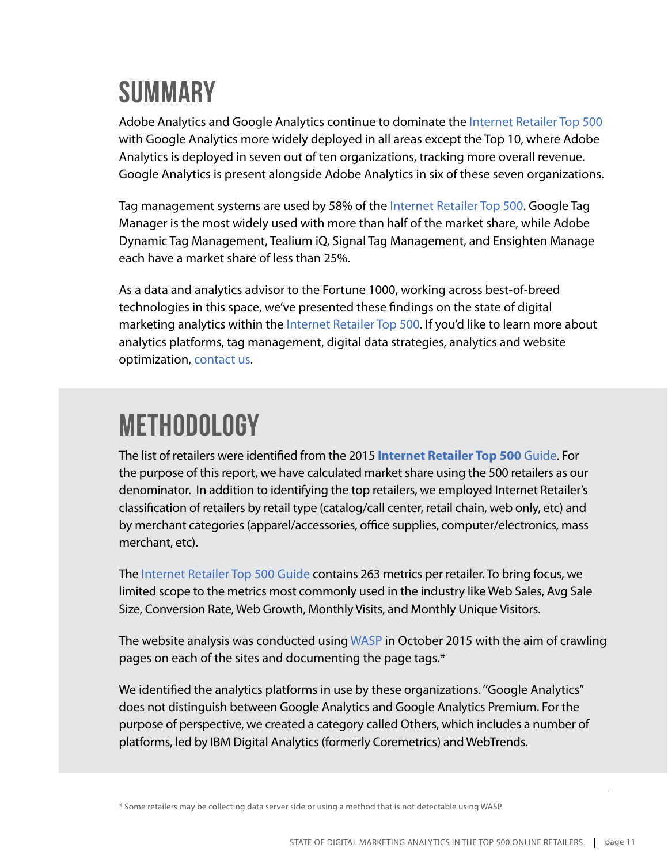## **Summary**

Adobe Analytics and Google Analytics continue to dominate the [Internet Retailer Top 500](https://www.internetretailer.com/top500/#!/) with Google Analytics more widely deployed in all areas except the Top 10, where Adobe Analytics is deployed in seven out of ten organizations, tracking more overall revenue. Google Analytics is present alongside Adobe Analytics in six of these seven organizations.

Tag management systems are used by 58% of the [Internet Retailer Top 500.](https://www.internetretailer.com/top500/#!/) Google Tag Manager is the most widely used with more than half of the market share, while Adobe Dynamic Tag Management, Tealium iQ, Signal Tag Management, and Ensighten Manage each have a market share of less than 25%.

As a data and analytics advisor to the Fortune 1000, working across best-of-breed technologies in this space, we've presented these findings on the state of digital marketing analytics within the [Internet Retailer Top 500.](https://www.internetretailer.com/top500/#!/) If you'd like to learn more about analytics platforms, tag management, digital data strategies, analytics and website optimization, [contact us](http://www.cardinalpath.com/contact/).

## **Methodology**

The list of retailers were identified from the 2015 **[Internet Retailer Top 500](https://www.internetretailer.com/top500/#!/)** Guide. For the purpose of this report, we have calculated market share using the 500 retailers as our denominator. In addition to identifying the top retailers, we employed Internet Retailer's classification of retailers by retail type (catalog/call center, retail chain, web only, etc) and by merchant categories (apparel/accessories, office supplies, computer/electronics, mass merchant, etc).

The [Internet Retailer Top 500 Guide](https://www.internetretailer.com/top500/#!/) contains 263 metrics per retailer. To bring focus, we limited scope to the metrics most commonly used in the industry like Web Sales, Avg Sale Size, Conversion Rate, Web Growth, Monthly Visits, and Monthly Unique Visitors.

The website analysis was conducted using [WASP](http://www.webanalyticssolutionprofiler.com/#axzz3tNwP1cAb) in October 2015 with the aim of crawling pages on each of the sites and documenting the page tags.\*

We identified the analytics platforms in use by these organizations. ''Google Analytics'' does not distinguish between Google Analytics and Google Analytics Premium. For the purpose of perspective, we created a category called Others, which includes a number of platforms, led by IBM Digital Analytics (formerly Coremetrics) and WebTrends.

<sup>\*</sup> Some retailers may be collecting data server side or using a method that is not detectable using WASP.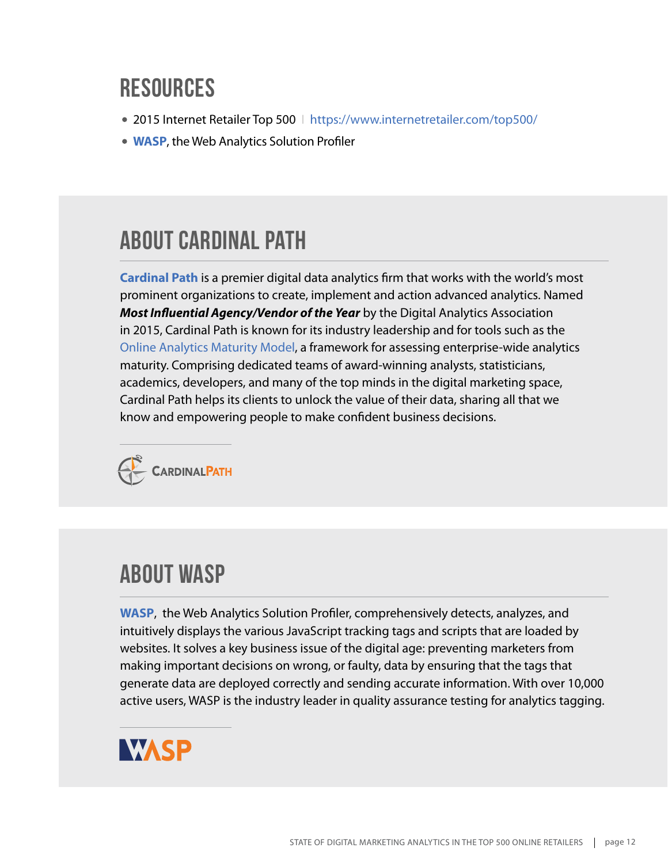#### **Resources**

- 2015 Internet Retailer Top 500 | <https://www.internetretailer.com/top500/>
- **[WASP](http://www.webanalyticssolutionprofiler.com/new/#axzz3WkipZcYs)**, the Web Analytics Solution Profiler

#### **About Cardinal Path**

**[Cardinal Path](http://www.cardinalpath.com/)** is a premier digital data analytics firm that works with the world's most prominent organizations to create, implement and action advanced analytics. Named *Most Influential Agency/Vendor of the Year* by the Digital Analytics Association in 2015, Cardinal Path is known for its industry leadership and for tools such as the [Online Analytics Maturity Model](http://www.cardinalpath.com/services/online-analytics-maturity-model/assessment/), a framework for assessing enterprise-wide analytics maturity. Comprising dedicated teams of award-winning analysts, statisticians, academics, developers, and many of the top minds in the digital marketing space, Cardinal Path helps its clients to unlock the value of their data, sharing all that we know and empowering people to make confident business decisions.



#### **About WASP**

**[WASP](http://www.webanalyticssolutionprofiler.com/#axzz3tNwP1cAb)**, the Web Analytics Solution Profiler, comprehensively detects, analyzes, and intuitively displays the various JavaScript tracking tags and scripts that are loaded by websites. It solves a key business issue of the digital age: preventing marketers from making important decisions on wrong, or faulty, data by ensuring that the tags that generate data are deployed correctly and sending accurate information. With over 10,000 active users, WASP is the industry leader in quality assurance testing for analytics tagging.